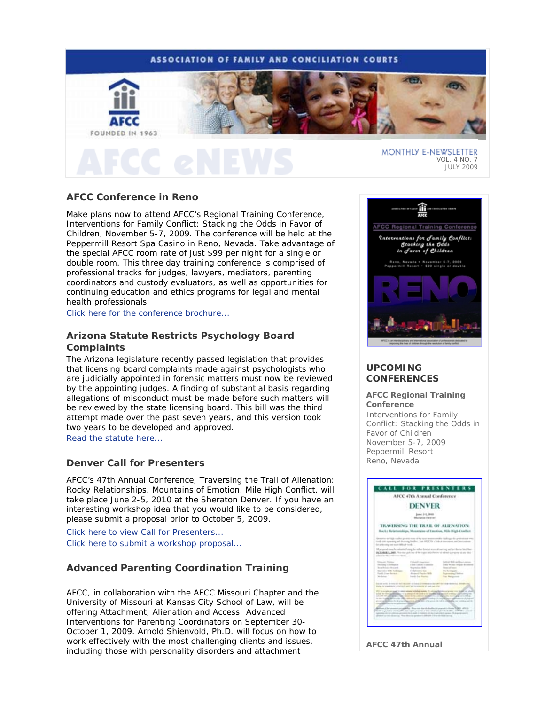# **ASSOCIATION OF FAMILY AND CONCILIATION COURTS**



**AFCC Conference in Reno**

Make plans now to attend AFCC's Regional Training Conference, *Interventions for Family Conflict: Stacking the Odds in Favor of Children*, November 5-7, 2009. The conference will be held at the Peppermill Resort Spa Casino in Reno, Nevada. Take advantage of the special AFCC room rate of just \$99 per night for a single or double room. This three day training conference is comprised of professional tracks for judges, lawyers, mediators, parenting coordinators and custody evaluators, as well as opportunities for continuing education and ethics programs for legal and mental health professionals.

Click here for the conference brochure...

# **Arizona Statute Restricts Psychology Board Complaints**

The Arizona legislature recently passed legislation that provides that licensing board complaints made against psychologists who are judicially appointed in forensic matters must now be reviewed by the appointing judges. A finding of substantial basis regarding allegations of misconduct must be made before such matters will be reviewed by the state licensing board. This bill was the third attempt made over the past seven years, and this version took two years to be developed and approved.

Read the statute here...

## **Denver Call for Presenters**

AFCC's 47th Annual Conference, *Traversing the Trail of Alienation: Rocky Relationships, Mountains of Emotion, Mile High Conflict*, will take place June 2-5, 2010 at the Sheraton Denver. If you have an interesting workshop idea that you would like to be considered, please submit a proposal prior to October 5, 2009.

Click here to view Call for Presenters... Click here to submit a workshop proposal...

# **Advanced Parenting Coordination Training**

AFCC, in collaboration with the AFCC Missouri Chapter and the University of Missouri at Kansas City School of Law, will be offering *Attachment, Alienation and Access: Advanced Interventions for Parenting Coordinators* on September 30- October 1, 2009. Arnold Shienvold, Ph.D. will focus on how to work effectively with the most challenging clients and issues, including those with personality disorders and attachment



VOL. 4 NO. 7 JULY 2009

# **UPCOMING CONFERENCES**

**AFCC Regional Training Conference** *Interventions for Family Conflict: Stacking the Odds in Favor of Children*  November 5-7, 2009 Peppermill Resort Reno, Nevada



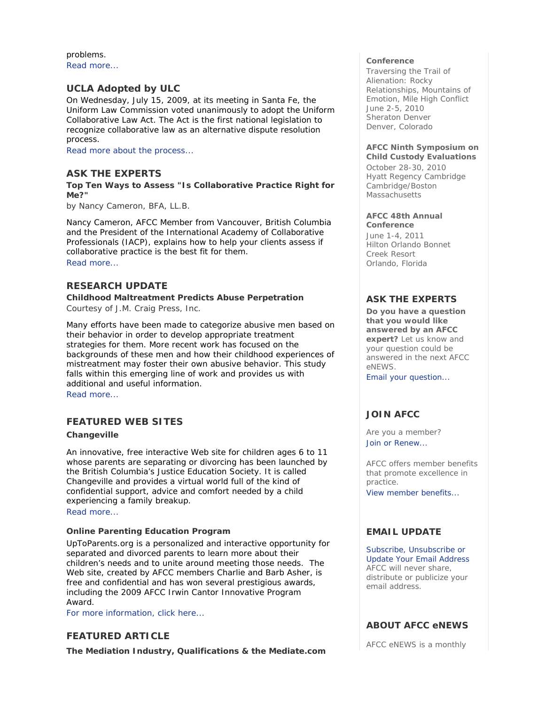problems. Read more...

# **UCLA Adopted by ULC**

On Wednesday, July 15, 2009, at its meeting in Santa Fe, the Uniform Law Commission voted unanimously to adopt the Uniform Collaborative Law Act. The Act is the first national legislation to recognize collaborative law as an alternative dispute resolution process.

Read more about the process...

# **ASK THE EXPERTS**

**Top Ten Ways to Assess "Is Collaborative Practice Right for Me?"** 

*by Nancy Cameron, BFA, LL.B.* 

Nancy Cameron, AFCC Member from Vancouver, British Columbia and the President of the International Academy of Collaborative Professionals (IACP), explains how to help your clients assess if collaborative practice is the best fit for them.

Read more...

# **RESEARCH UPDATE**

**Childhood Maltreatment Predicts Abuse Perpetration** 

*Courtesy of J.M. Craig Press, Inc.* 

Many efforts have been made to categorize abusive men based on their behavior in order to develop appropriate treatment strategies for them. More recent work has focused on the backgrounds of these men and how their childhood experiences of mistreatment may foster their own abusive behavior. This study falls within this emerging line of work and provides us with additional and useful information.

Read more...

# **FEATURED WEB SITES**

### **Changeville**

An innovative, free interactive Web site for children ages 6 to 11 whose parents are separating or divorcing has been launched by the British Columbia's Justice Education Society. It is called *Changeville* and provides a virtual world full of the kind of confidential support, advice and comfort needed by a child experiencing a family breakup. Read more...

**Online Parenting Education Program** 

UpToParents.org is a personalized and interactive opportunity for separated and divorced parents to learn more about their children's needs and to unite around meeting those needs. The Web site, created by AFCC members Charlie and Barb Asher, is free and confidential and has won several prestigious awards, including the 2009 AFCC Irwin Cantor Innovative Program Award.

For more information, click here...

# **FEATURED ARTICLE**

**The Mediation Industry, Qualifications & the Mediate.com** 

### **Conference**

*Traversing the Trail of Alienation: Rocky Relationships, Mountains of Emotion, Mile High Conflict* June 2-5, 2010 Sheraton Denver Denver, Colorado

### **AFCC Ninth Symposium on Child Custody Evaluations**

October 28-30, 2010 Hyatt Regency Cambridge Cambridge/Boston **Massachusetts** 

#### **AFCC 48th Annual Conference**

June 1-4, 2011 Hilton Orlando Bonnet Creek Resort Orlando, Florida

# **ASK THE EXPERTS**

**Do you have a question that you would like answered by an AFCC expert?** Let us know and your question could be answered in the next *AFCC eNEWS*.

Email your question...

# **JOIN AFCC**

Are you a member? Join or Renew...

AFCC offers member benefits that promote excellence in practice.

View member benefits...

# **EMAIL UPDATE**

Subscribe, Unsubscribe or Update Your Email Address AFCC will never share, distribute or publicize your email address.

# **ABOUT AFCC eNEWS**

*AFCC eNEWS* is a monthly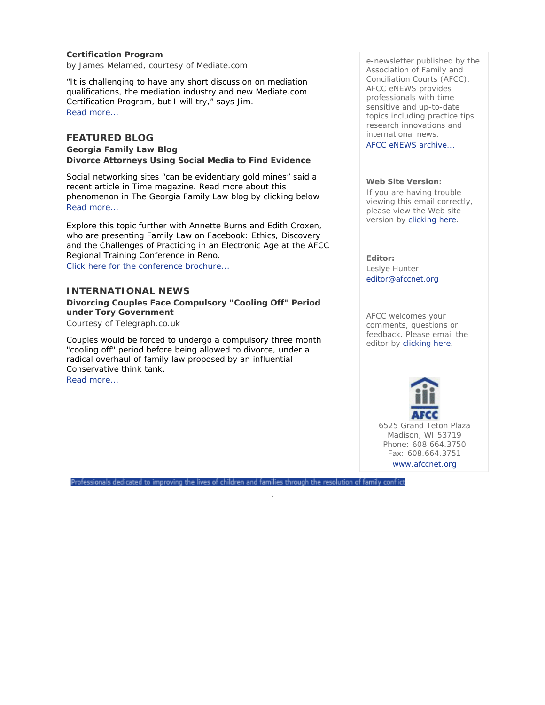### **Certification Program**

*by James Melamed, courtesy of Mediate.com* 

"It is challenging to have any short discussion on mediation qualifications, the mediation industry and new Mediate.com Certification Program, but I will try," says Jim. Read more...

# **FEATURED BLOG**

**Georgia Family Law Blog Divorce Attorneys Using Social Media to Find Evidence** 

Social networking sites "can be evidentiary gold mines" said a recent article in *Time* magazine. Read more about this phenomenon in The Georgia Family Law blog by clicking below Read more...

Explore this topic further with Annette Burns and Edith Croxen, who are presenting *Family Law on Facebook: Ethics, Discovery and the Challenges of Practicing in an Electronic Age* at the AFCC Regional Training Conference in Reno. Click here for the conference brochure...

### **INTERNATIONAL NEWS**

**Divorcing Couples Face Compulsory "Cooling Off" Period under Tory Government** 

*Courtesy of Telegraph.co.uk* 

Couples would be forced to undergo a compulsory three month "cooling off" period before being allowed to divorce, under a radical overhaul of family law proposed by an influential Conservative think tank.

Read more...

e-newsletter published by the Association of Family and Conciliation Courts (AFCC). *AFCC eNEWS* provides professionals with time sensitive and up-to-date topics including practice tips, research innovations and international news.

AFCC eNEWS archive...

### **Web Site Version:**

If you are having trouble viewing this email correctly, please view the Web site version by clicking here.

**Editor:**  Leslye Hunter editor@afccnet.org

AFCC welcomes your comments, questions or feedback. Please email the editor by clicking here.



6525 Grand Teton Plaza Madison, WI 53719 Phone: 608.664.3750 Fax: 608.664.3751 www.afccnet.org

Professionals dedicated to improving the lives of children and families through the resolution of family conflict

.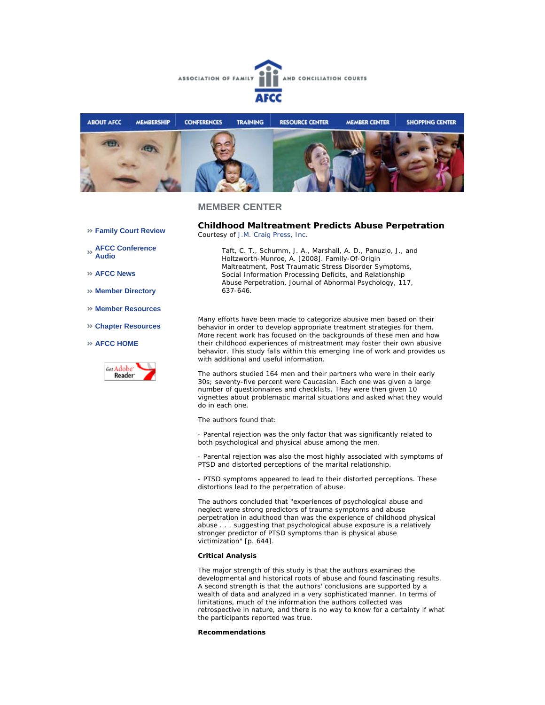



### **MEMBER CENTER**

**Family Court Review** 

**AFCC Conference Audio** 

**AFCC News** 

- **Member Directory**
- **Member Resources**
- **Chapter Resources**

### **AFCC HOME**



**Childhood Maltreatment Predicts Abuse Perpetration**  *Courtesy of J.M. Craig Press, Inc.*

*Taft, C. T., Schumm, J. A., Marshall, A. D., Panuzio, J., and Holtzworth-Munroe, A. [2008]. Family-Of-Origin Maltreatment, Post Traumatic Stress Disorder Symptoms, Social Information Processing Deficits, and Relationship Abuse Perpetration. Journal of Abnormal Psychology, 117, 637-646.*

Many efforts have been made to categorize abusive men based on their behavior in order to develop appropriate treatment strategies for them. More recent work has focused on the backgrounds of these men and how their childhood experiences of mistreatment may foster their own abusive behavior. This study falls within this emerging line of work and provides us with additional and useful information.

The authors studied 164 men and their partners who were in their early 30s; seventy-five percent were Caucasian. Each one was given a large number of questionnaires and checklists. They were then given 10 vignettes about problematic marital situations and asked what they would do in each one.

The authors found that:

- Parental rejection was the only factor that was significantly related to both psychological and physical abuse among the men.

- Parental rejection was also the most highly associated with symptoms of PTSD and distorted perceptions of the marital relationship.

- PTSD symptoms appeared to lead to their distorted perceptions. These distortions lead to the perpetration of abuse.

The authors concluded that "experiences of psychological abuse and neglect were strong predictors of trauma symptoms and abuse perpetration in adulthood than was the experience of childhood physical abuse . . . suggesting that psychological abuse exposure is a relatively stronger predictor of PTSD symptoms than is physical abuse victimization" [p. 644].

#### **Critical Analysis**

The major strength of this study is that the authors examined the developmental and historical roots of abuse and found fascinating results. A second strength is that the authors' conclusions are supported by a wealth of data and analyzed in a very sophisticated manner. In terms of limitations, much of the information the authors collected was retrospective in nature, and there is no way to know for a certainty if what the participants reported was true.

### **Recommendations**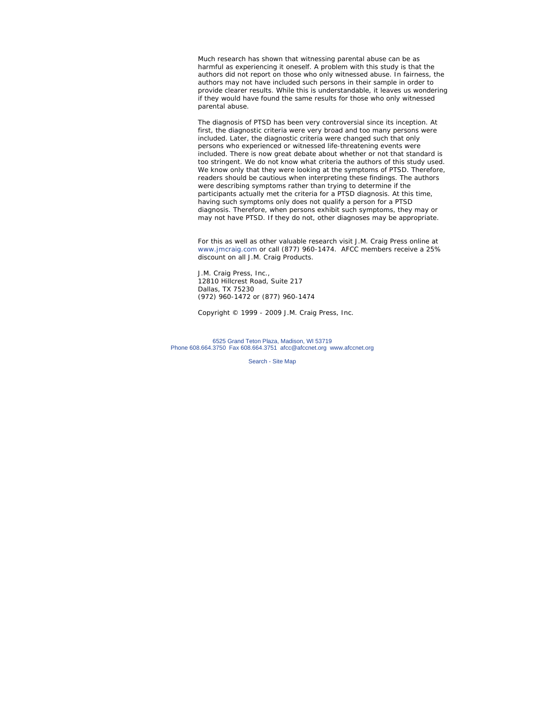Much research has shown that witnessing parental abuse can be as harmful as experiencing it oneself. A problem with this study is that the authors did not report on those who only witnessed abuse. In fairness, the authors may not have included such persons in their sample in order to provide clearer results. While this is understandable, it leaves us wondering if they would have found the same results for those who only witnessed parental abuse.

The diagnosis of PTSD has been very controversial since its inception. At first, the diagnostic criteria were very broad and too many persons were included. Later, the diagnostic criteria were changed such that only persons who experienced or witnessed life-threatening events were included. There is now great debate about whether or not that standard is too stringent. We do not know what criteria the authors of this study used. We know only that they were looking at the symptoms of PTSD. Therefore, readers should be cautious when interpreting these findings. The authors were describing symptoms rather than trying to determine if the participants actually met the criteria for a PTSD diagnosis. At this time, having such symptoms only does not qualify a person for a PTSD diagnosis. Therefore, when persons exhibit such symptoms, they may or may not have PTSD. If they do not, other diagnoses may be appropriate.

*For this as well as other valuable research visit J.M. Craig Press online at www.jmcraig.com or call (877) 960-1474. AFCC members receive a 25% discount on all J.M. Craig Products.*

J.M. Craig Press, Inc., 12810 Hillcrest Road, Suite 217 Dallas, TX 75230 (972) 960-1472 or (877) 960-1474

*Copyright © 1999 - 2009 J.M. Craig Press, Inc.*

6525 Grand Teton Plaza, Madison, WI 53719 Phone 608.664.3750 Fax 608.664.3751 afcc@afccnet.org www.afccnet.org

Search - Site Map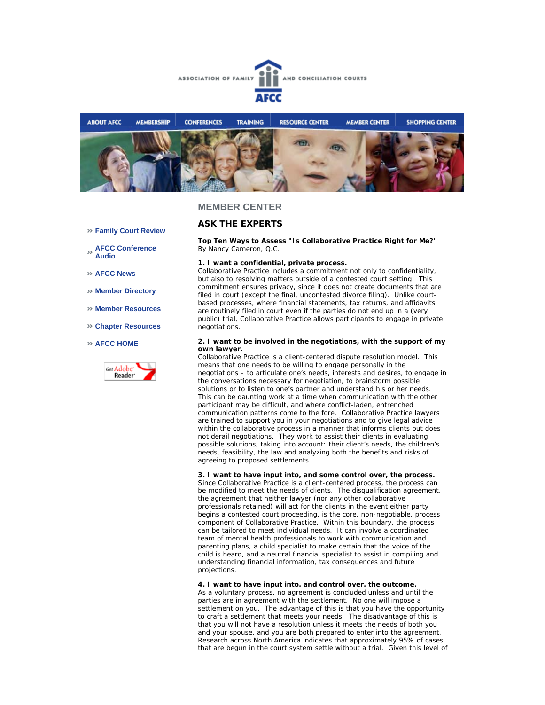



### **MEMBER CENTER**

# **ASK THE EXPERTS**

**Top Ten Ways to Assess "Is Collaborative Practice Right for Me?"** *By Nancy Cameron, Q.C.* 

#### **1. I want a confidential, private process.**

Collaborative Practice includes a commitment not only to confidentiality, but also to resolving matters outside of a contested court setting. This commitment ensures privacy, since it does not create documents that are filed in court (except the final, uncontested divorce filing). Unlike courtbased processes, where financial statements, tax returns, and affidavits are routinely filed in court even if the parties do not end up in a (very public) trial, Collaborative Practice allows participants to engage in private negotiations

#### **2. I want to be involved in the negotiations, with the support of my own lawyer.**

Collaborative Practice is a client-centered dispute resolution model. This means that one needs to be willing to engage personally in the negotiations – to articulate one's needs, interests and desires, to engage in the conversations necessary for negotiation, to brainstorm possible solutions or to listen to one's partner and understand his or her needs. This can be daunting work at a time when communication with the other participant may be difficult, and where conflict-laden, entrenched communication patterns come to the fore. Collaborative Practice lawyers are trained to support you in your negotiations and to give legal advice within the collaborative process in a manner that informs clients but does not derail negotiations. They work to assist their clients in evaluating possible solutions, taking into account: their client's needs, the children's needs, feasibility, the law and analyzing both the benefits and risks of agreeing to proposed settlements.

**3. I want to have input into, and some control over, the process.** Since Collaborative Practice is a client-centered process, the process can be modified to meet the needs of clients. The disqualification agreement, the agreement that neither lawyer (nor any other collaborative professionals retained) will act for the clients in the event either party begins a contested court proceeding, is the core, non-negotiable, process component of Collaborative Practice. Within this boundary, the process can be tailored to meet individual needs. It can involve a coordinated team of mental health professionals to work with communication and parenting plans, a child specialist to make certain that the voice of the child is heard, and a neutral financial specialist to assist in compiling and understanding financial information, tax consequences and future projections.

#### **4. I want to have input into, and control over, the outcome.**

As a voluntary process, no agreement is concluded unless and until the parties are in agreement with the settlement. No one will impose a settlement on you. The advantage of this is that you have the opportunity to craft a settlement that meets your needs. The disadvantage of this is that you will not have a resolution unless it meets the needs of both you and your spouse, and you are both prepared to enter into the agreement. Research across North America indicates that approximately 95% of cases that are begun in the court system settle without a trial. Given this level of

- **Family Court Review**
- **AFCC Conference Audio**
- **AFCC News**
- **Member Directory**
- **Member Resources**
- **Chapter Resources**

### **AFCC HOME**

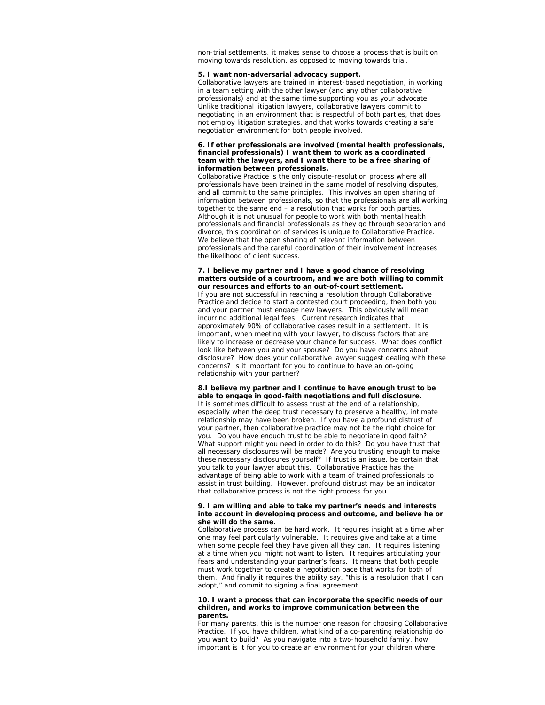non-trial settlements, it makes sense to choose a process that is built on moving towards resolution, as opposed to moving towards trial.

### **5. I want non-adversarial advocacy support.**

Collaborative lawyers are trained in interest-based negotiation, in working in a team setting with the other lawyer (and any other collaborative professionals) and at the same time supporting you as your advocate. Unlike traditional litigation lawyers, collaborative lawyers commit to negotiating in an environment that is respectful of both parties, that does not employ litigation strategies, and that works towards creating a safe negotiation environment for both people involved.

#### **6. If other professionals are involved (mental health professionals, financial professionals) I want them to work as a coordinated team with the lawyers, and I want there to be a free sharing of information between professionals.**

Collaborative Practice is the only dispute-resolution process where all professionals have been trained in the same model of resolving disputes, and all commit to the same principles. This involves an open sharing of information between professionals, so that the professionals are all working together to the same end – a resolution that works for both parties. Although it is not unusual for people to work with both mental health professionals and financial professionals as they go through separation and divorce, this coordination of services is unique to Collaborative Practice. We believe that the open sharing of relevant information between professionals and the careful coordination of their involvement increases the likelihood of client success.

#### **7. I believe my partner and I have a good chance of resolving matters outside of a courtroom, and we are both willing to commit our resources and efforts to an out-of-court settlement.**

If you are not successful in reaching a resolution through Collaborative Practice and decide to start a contested court proceeding, then both you and your partner must engage new lawyers. This obviously will mean incurring additional legal fees. Current research indicates that approximately 90% of collaborative cases result in a settlement. It is important, when meeting with your lawyer, to discuss factors that are likely to increase or decrease your chance for success. What does conflict look like between you and your spouse? Do you have concerns about disclosure? How does your collaborative lawyer suggest dealing with these concerns? Is it important for you to continue to have an on-going relationship with your partner?

### **8.I believe my partner and I continue to have enough trust to be able to engage in good-faith negotiations and full disclosure.**

It is sometimes difficult to assess trust at the end of a relationship, especially when the deep trust necessary to preserve a healthy, intimate relationship may have been broken. If you have a profound distrust of your partner, then collaborative practice may not be the right choice for you. Do you have enough trust to be able to negotiate in good faith? What support might you need in order to do this? Do you have trust that all necessary disclosures will be made? Are you trusting enough to make these necessary disclosures yourself? If trust is an issue, be certain that you talk to your lawyer about this. Collaborative Practice has the advantage of being able to work with a team of trained professionals to assist in trust building. However, profound distrust may be an indicator that collaborative process is not the right process for you.

#### **9. I am willing and able to take my partner's needs and interests into account in developing process and outcome, and believe he or she will do the same.**

Collaborative process can be hard work. It requires insight at a time when one may feel particularly vulnerable. It requires give and take at a time when some people feel they have given all they can. It requires listening at a time when you might not want to listen. It requires articulating your fears and understanding your partner's fears. It means that both people must work together to create a negotiation pace that works for both of them. And finally it requires the ability say, "this is a resolution that I can adopt," and commit to signing a final agreement.

#### **10. I want a process that can incorporate the specific needs of our children, and works to improve communication between the parents.**

For many parents, this is the number one reason for choosing Collaborative Practice. If you have children, what kind of a co-parenting relationship do you want to build? As you navigate into a two-household family, how important is it for you to create an environment for your children where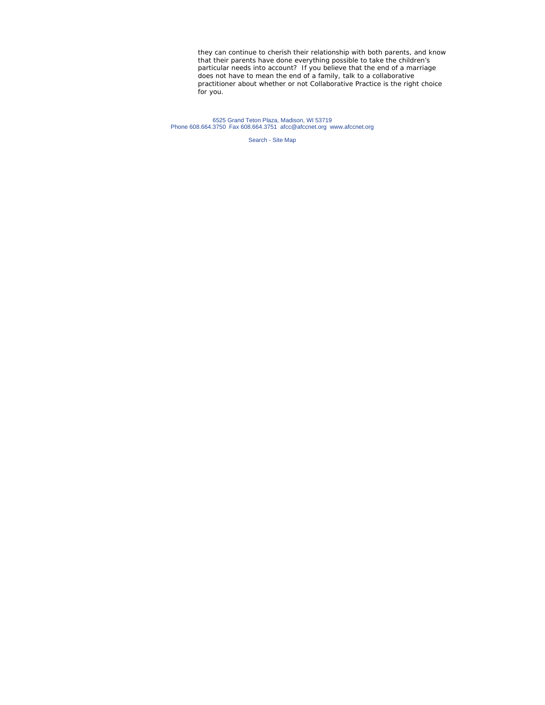they can continue to cherish their relationship with both parents, and know that their parents have done everything possible to take the children's particular needs into account? If you believe that the end of a marriage does not have to mean the end of a family, talk to a collaborative practitioner about whether or not Collaborative Practice is the right choice for you.

6525 Grand Teton Plaza, Madison, WI 53719 Phone 608.664.3750 Fax 608.664.3751 afcc@afccnet.org www.afccnet.org

Search - Site Map